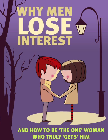# HY ME QV) **INTEREST**

Why does he pulled a pull and the EXACT reasons: the EXACT reasons: the EXACT reasons: the EXACT reasons: the EXACT reasons: the EXACT reasons: the EXACT reasons: the EXACT reasons: the EXACT reasons: the EXACT reasons: th **http://www.attractionsaway Page 19 WHO TRULY 'GETS' HIM**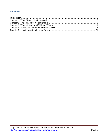# **Contents**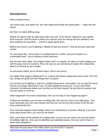# <span id="page-2-0"></span>**Introduction**

We've all been there.

You meet a guy, and sparks fly. You start dating and things are going great — really hot and heavy.

But then, he starts drifting away.

Maybe he doesn't pick up right away when you call. Or he doesn't respond to your playful texts anymore. And the worst is when you assume you'll be seeing him this weekend, and then suddenly he has plans – and he's vague about them.

Before you know it, you're getting a "Maybe I'll see you around." And we all know what that means.

Or, how about this: You've been in a relationship for a while, and you've gotten to a comfortable point. You're starting to think long-term.

But he's got other ideas. Your regular dates aren't so regular. He starts to make hanging out with the guys more of a priority. Then one day you are wondering if maybe the relationship wasn't as serious as you thought.

As previously stated, we've all been there, and it's the worst!

No matter what stage of dating we're in, it seems like there's always the same cycle: He's into you, things are good and then things aren't so good.

It's not that you're fighting or that he's outright being mean, necessarily. You just get the sense that he's no longer interested in you. He has stopped pursuing you. In your more bitter moments, his behavior makes you feel like you've been played. He got what he wanted, and now he wants to move on.

What happened? And more importantly, how can we stop it from happening again?

If these are questions you've been wrestling with, then you've come to the right place. This book discusses why men lose interest and how you can be the only woman in his life who truly understands him.

First, the book explains what initially makes men interested in a woman. After all, if you don't know what drives them, you can't be the driver!

Next, you'll learn all the phases of a relationship, so you can see where you are and where the pitfalls might lie. Once you've identified your potential issues, then you can fix them or avoid them altogether!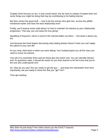Chapter three focuses on you. It may sound harsh, but we have to explore if maybe there are some things you might be doing that may be contributing to his fading interest.

But then comes the good stuff  $-$  how to be the woman who gets him, survive the pitfalls mentioned earlier and have the best relationship ever!

Finally, you'll receive some solid advice on how to maintain his interest as your relationship progresses. That way, you can keep the love going!

Speaking of long-term, here's a word to the married ladies out there — this book is about you, too.

Just because the book begins discussing early dating phases doesn't mean you can't apply the advice to your own life.

As you read, think back to when you were dating. Your husband gave you all the clues you need to revive his interest.

Your job is to remember them and put these tips into action now. You can rekindle interest and, for goodness sake, it should be easier for you than anyone to let him know that you're the one who understands him!

So, what do you say? Are you ready to get the guy — and keep him interested? And more importantly, are you ready to show him that you "get" him?

Then get reading!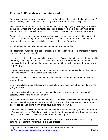# <span id="page-4-0"></span>**Chapter 1: What Makes Him Interested**

For a guy to lose interest in a woman, he has to have been interested in the first place, right? So, first identify what a man finds interesting about a woman he's set his sights on.

Men love beautiful women. Of course, the definition of beauty is going to change depending on the guy. Where one man might stop dead in his tracks for a leggy blonde in yoga pants, another would pass her by in a second on his way to chat up a curvy brunette in a sundress.

Because there's no accounting for physical looks when it comes to a man's initial interest, this should be discounted right off the bat. This will be discussed in greater detail later, but for now, it's suffice to say that if he's talking to you, he thinks you're pretty.

But as he gets to know you, he puts you into one of two categories.

The first category, for lack of a better phrase, is the one-night stand. He's interested in getting you into bed, plain and simple.

He's surely having a decent time talking to you, and he's not being a jerk to you. In fact, at this extremely early stage, it has very little to do with you. But there is something about the chemistry the two of you have that makes him not be able to think past, what for right now, is his primary goal.

It's pretty safe to say that, even just for a moment, all women that men find attractive start off in this first category. That's just the cold, hard truth.

Depending on what you want from him, this first category might be fine for you. It might be your goal, too.

But, you can't stay in this category and expect a long-term relationship from him. It's just not going to happen.

If you want to keep his interest, you have to make sure he moves you into the second category, which is the girlfriend category.

This is where he still wants to get you into bed  $-$  a guy is always thrilled by that prospect and that won't ever change  $-$  but there is something about you that intrigues him, interests him and he can see you being a part of his life, if even for a little while.

It's a split-second decision that a guy makes based on whatever insanely complex man-math he's doing in his head. To find out how to nudge that math along and move from one category to the second... well, you'll find out more about that in Chapter 4.

But in terms of what makes a man interested in a woman, there are a few common things that, when consistent over time, hold a man's interest.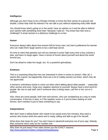## **Intelligence**

Although you don't have to be a Rhodes Scholar or know the finer points of a ground rule double, it does help hold his interest if he can talk to you without explaining every little detail.

You should know what's going on in the world, have an opinion on it and be able to defend your opinion with something more than "because I said so." You know how men love a challenge? A smart woman is a delicious challenge to a man.

#### **Humor**

Everyone always talks about how women fall for funny men, but men's preference for women who can make them laugh seems to be a well-kept secret.

It's time to retire that petulant eye-roll you learned in junior high every time a boy cracked a joke, and learn to laugh again. Have a sense of humor about yourself and about the world around you.

Don't be afraid to make him laugh, too. It's a powerful aphrodisiac.

#### **Kindness**

This is a surprising thing that men are interested in when it comes to women. After all, it seems like a given, but apparently, there are a lot of crabby women out there, which men do not appreciate.

A woman's unkindness tends to come out when she's talking about other people — especially other women and exes. Keep your negative opinions to yourself. Always have a kind word for people. Be nice to wait staff, and if someone else is being mean, call him or her out on it politely.

Also, there are some people, both men and women, who use complaining as a way to make conversation. If the line is slow, or if the weather sucks or if you've been waiting on hold forever, don't mention it just to have something to say.

#### **Independence**

Men don't want a wilting flower who needs to be saved every five minutes; they want a woman who knows what she wants and is ready, willing and able to get it for herself.

What does that mean for you? You don't have to steamroll everyone out of your way. Nobody likes someone who's only out for number one.

Why does he pull away? Free video shows you the EXACT reasons: http://www.attractionmatters.net/go/whyhepullsaway example and the example of  $P$  Page 6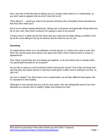Also, men like to feel like they're taking care of a woman when they're in a relationship, so you don't want to appear that you don't need him at all.

Think about it — would you want to be around someone who constantly shows and tells you that they don't need you?

But if you're always having adventures, taking care of business and generally being awesome all on your own, then that's someone he's going to want to be around!

If every once in a while you let him know that you could use his help solving a problem, he'll be all the more willing to roll up his sleeves and do what he can for you.

## **Grooming**

As stated above, there is no set definition of what beauty is; it varies from man to man. But, there are several ways that women can spark and hold a man's interest when it comes to appearances.

First, there is grooming. Are you always put together, or do you tend to live in sweats when not specifically dressed for an occasion?

Do you like to spray on a bit of perfume before leaving the house? One of the top thing men say that they love about women is that they smell good. It takes next to nothing to do this, so why not?

Are you in shape? You don't have to be a supermodel; we all have different body types. But it's important to look healthy.

Although no man should love you only for your looks, men are biologically wired to be more attracted to a woman who is healthy, happy and looking her best.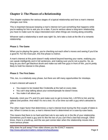# <span id="page-7-0"></span>**Chapter 2: The Phases of a Relationship**

This chapter explains the various stages of a typical relationship and how a man's interest changes over time.

This is important because keeping a man's interest isn't just something that happens while you're waiting for him to ask you on a date. If you're serious about a long-term relationship, you have to make sure he stays interested even when things are moving along smoothly.

Whoever said a relationship is work was right! So, let's take a look at the life of a romantic relationship.

### **Phase 1: The Game**

When you're playing the game, you're checking out each other's moves and seeing if you'd be a good fit. For the most part, this first phase is instinct.

A man's interest at this point doesn't really extend beyond learning your name, realizing you can speak intelligently and in full sentences, and making sure you're not a psycho. So, as long as you don't get blackout drunk and make-out with five guys in front of him, you're pretty likely to hold his interest in this phase.

#### **Phase 2: The First Dates**

This, too, is a relatively easy phase, but there are still many opportunities for missteps.

A man's interest will wane if:

- You expect to be treated like Cinderella at the ball on every date.
- You can't stop talking about your ex/work/people he doesn't know.
- You make it all about you.

Basically, mind your P's and Q's and make sure to get to know him, LISTEN to him and be upbeat and positive. And relax! It's not a test. It's a fun time out with a guy who's attracted to you.

The other major factor that determines a man's interest level during the first couple of dates is sex. When it comes to sex, a man's interest level is determined on a case-by-case basis.

This means that there is no hard-and-fast rule to sex early on in the life of your relationship. Sometimes you'll meet a guy and it's like the two of you can't find a bed fast enough. Other times, there is a build-up, and the sex part comes later when the relationship moves into a more serious phase.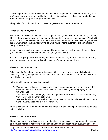What's important to note here is that you should ONLY go as far as is comfortable for you. If you're not ready to have sex and he loses interest in you based on that, then good riddance. He's clearly not ready for a long-term relationship.

The pitfalls of this phase will be discussed in greater detail in the next chapter.

### **Phase 3: The Honeymoon**

You're past the awkwardness of the first couple of dates, and you're in the full swing of dating. This is when you start building a history together, so there are a lot of private jokes. You build an emotional comfort combined with a sense of adventure as you do new things together, and this is where most couples start having sex. So you're finding out that you're compatible in many different ways!

A man's interest level is going to be high at this phase, but he is still trying to figure out how you fit into his life. (You should be doing this, too, by the way!)

His interest is going to dwindle during this phase if you try to figure that out for him, meaning you start making a lot of demands on his time. You're not at that point yet.

### **Phase 4: The Comfort Zone**

Other than the first phase, during which a guy still has time to just completely bail on the possibility of being with you in the first place, this is the trickiest phase and the one where it's most likely to fall apart.

In the Comfort Zone, he may lose interest if:

- 1. You get into a dating rut maybe you have a standing date on a certain night of the week, or maybe your "dates" have devolved into watching TV and playing on your Smartphones.
- 2. The chase is over  $-$  some guys are  $A+$  boyfriends until they're 100 percent sure they "have you," and then they get bored.
- 3. Sex has developed into a routine. This isn't a major factor, but when combined with the Comfort Zone, it can make him lose interest.

There's also quite a lot women do during this phase that doesn't help, but that will be covered in the next chapter.

## **Phase 5: The Commitment**

The Commitment phase is when you both decide to be exclusive. You start attending events as a couple, friends invite you to nights out as a couple and pretty much everyone sees you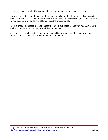as two halves of a whole. It's going to take something major to facilitate a breakup.

However, while it's easier to stay together, that doesn't mean that he necessarily is going to stay interested as easily. Although our actions may make him lose interest, it's more because he has become way too comfortable now that the pressure's off.

For this phase, the pressure isn't necessarily on you, but it also means that you may need to work a bit harder to make sure he's still feeling the love.

After these phases follow the more serious steps like moving in together and/or getting married. Those phases are explained better in Chapter 5.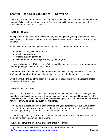# <span id="page-10-0"></span>**Chapter 3: Where It Can (and Will) Go Wrong**

Now that you know the phases of a relationship in terms of when a man most commonly loses interest, it's time to turn that gaze inward. Are we responsible for making him lose interest when instead he could be crazy in love?

### **Phase 1: The Game**

As explained in the last chapter, this is the very beginning when you're just getting to know each other. It could last for an hour, or a month — however long it takes until you start going on dates.

At this point, there's not a lot you can do to sabotage his efforts, but there are a few:

- Making overtly sexual references
- Getting sloppy drunk
- Making out with girlfriends
- Being mean (but thinking you're playing hard to get)

If a guy is talking to you, it's because he's interested in you. You're already starting out at an advantage. You just have to not mess it up.

Remember, he's doing his man-math and deciding into which category you will be placed. If you're into him and want a relationship, make sure you go into the girlfriend category!

By all means, be the life of the party; just make sure it doesn't involve embarrassing photos on Facebook the next day!

## **Phase 2: The First Dates**

Your first dates are when you really have the opportunity to pique his interest. First, you want to make a good visual impression. Although this doesn't mean you should be dressing to the nines all the time, it does mean that every time he sees you, he should be given an immediate reminder of why he asked you out in the first place.

How you do this depends on your best attributes and your personal style, but always, always remember to be comfortable. No man is going to be interested in seeing you futz with your outfit all night or carry around those heels that are just too tall.

DO NOT keep checking your phone! Many people tend to do this out of nervousness or to fill a void in the conversation, but it's the worst.

Plus, you don't want to give him a chance to check his, either!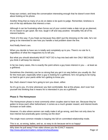Keep eye contact, and keep the conversation interesting enough that he doesn't even think about looking at his phone.

Another thing that so many of us do on dates is be quick to judge. Remember, kindness is one of the top attributes that interest a man.

Although it can be frustrating when forces out of your control make a date not go as planned, it's no reason to get upset. Be nice, laugh it off and stay positive. Versatility hits all of his interest buttons.

Think of it this way: If you freak out because they didn't put the dressing on the side, he's not going to be interested to see how you handle a real problem down the line.

And finally there's sex.

When you decide to have sex is totally and completely up to you. There's no rule for it, regardless of what the magazines try to tell you.

But what you should absolutely MUST NOT DO is hop into bed with him ONLY BECAUSE you think it will keep his interest.

In far too many cases, this is exactly the point where a guy loses interest in you  $-$  at least as a girlfriend.

Sometimes the chemistry can be so strong that you get it on way before you usually do. But for the most part, especially when a guy is looking for a girlfriend, he's not going to be trying so hard to get in your pants while he's getting to know you.

But, that's doesn't mean he's going to turn you down, either.

So it's up to you. It's time whenever you feel comfortable. But at this phase, don't ever fool yourself into thinking that it means he is interested in you as a girlfriend.

#### **Phase 3: The Honeymoon**

The Honeymoon phase is most commonly when couples start to have sex. Because they've gotten to know each other beforehand, it comes as a much greater reward, and interest levels increase on both sides.

However, it's also where women can really make it all go wrong, and then not only does he lose interest but practically goes running out the door!

The single most common mistake is leaping into full-on committed-relationship mode.

This is so, so wrong, ladies, and so, so easy to do because we're so happy!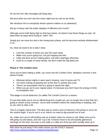So we text him silly messages (all dang day).

We pout when we can't see him every night (not as cute as we think).

We introduce him to everybody whose opinion matters to us (awkward).

We go in heavy with the public displays of affection (too much!).

Although you're both flying high on that love potion, he doesn't see these things as cute. He sees them as ways we're trying to "claim" him.

Simply put, we move too fast in the honeymoon phase, and he becomes actively disinterested in us.

So, what we need to do is take it slow:

- Limit the number of times you see him each week.
- Make sure you're going out, not just hopping into bed.
- Calls and texts are for making plans; use them sparingly otherwise.
- Gush to a couple of close friends, but don't make the big debut yet.

## **Phase 4: The Comfort Zone**

Once you've been dating a while, you move into the Comfort Zone. Mistakes common in this phase include:

- Whereas before nights in were spent romping, now it's pizza and TV.
- You think nothing of greeting him at the door in sweats and a tee.
- There's an assumption that he's going to spend the night.
- When you go out to your regular place, it's because you don't have the energy to think of someplace new.

This stage is not all doldrums; it's called The Comfort Zone for a reason.

It's just that while you're not an official long-term couple yet, you no longer live in fear that he's going to vanish at any moment. You're both confident where the relationship is heading, and so you start to relax a bit.

This is a hugely critical time. The best way to avoid a loss of interest in this phase is not to let the routine begin. If you're not in a rut, there's no need to dig yourself out of one!

So, make sure you're still looking cute as a button when he comes to call. Make sure you're still going out and about, and mix it up a bit. It doesn't have to be all insanely glamorous evenings on the town, but even a nice walk or a date at a time you don't usually meet up is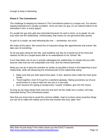enough to keep it interesting.

## **Phase 5: The Commitment**

The challenge to keeping his interest in The Commitment phase is a unique one. For women, staying interested isn't usually a problem. Once we have our guy, it's our natural instinct to be interested in him, in every aspect.

It's usually the guy who gets less interested because his work is done, so to speak; he can truly relax into the relationship. Unfortunately, that means he can get bored fairly quickly.

As part of a couple, we start behaving like one – sometimes, too much.

We make all the plans. We remind him of important things like appointments and events. We take care of everything.

So he just goes along for the ride, until suddenly one day he is bored out of his mind and realizes his life as a couple bears little to no resemblance to his "former" life.

It isn't that either one of you is actively sabotaging the relationship; it's simply that you both assume roles that are not sustainable over time, and the interest plummets.

What you can do is keep the activities as similar as possible to those in the beginning of your relationship, while still advancing the emotional part of the relationship along:

- Make sure that you both spend time apart. In fact, absence does make the heart grow fonder.
- Travel together, even if it's just for a weekend getaway. Taking yourselves out of your environment is a way to help him see you in a new way.
- Don't assume he's going to accept every "couple" invitation; give him the choice.

As long as you keep things fresh and new and don't let him settle into a routine, he'll stay interested during The Commitment phase.

Now that you know how to avoid the common pitfalls, read on to learn some proactive things you can do to make him realize you're the only woman who truly "gets" him!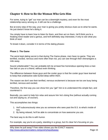# <span id="page-14-0"></span>**Chapter 4: How to Be the Woman Who Gets Him**

For some, trying to "get" our man can be a downright mystery, and even for the most relationship-savvy among us, it still can be a challenge.

But at every step of the way, your man is giving you pretty obvious clues as to what he wants. He just doesn't know he's doing it.

You simply have to learn how to listen for them, and then act on them. He'll think you're a freaking mind reader and a genius, and he'll definitely stay interested, if only to see what you think of next!

To break it down, consider it in terms of the dating phases:

### **Phase 1: The Game**

The worst kept dating secret is that during The Game phase, men have no game. They are terrified, excited, nervous and more often than not, you can see through their shenanigans a mile away.

Sound unbelievable? You can probably tell me at least five horrendous opening lines a man has laid on you or a friend, without even thinking.

The difference between those guys and the cooler guys is that the cooler guys have learned to keep that unattractive side buried deep within them.

The reason we don't see their terrified, nervous excitement is because we too are busy being terrified, nervous and excited.

Therefore, the first way you can show him you "get" him is to understand this simple fact, and counteract it.

Basically, you want to help him relax and assure him he's doing fine (without actually coming out and saying so, of course!).

This accomplishes two things:

- 1. He'll subconsciously view you as someone who sees past the B.S. to what's inside of him.
- 2. By being relaxed, he'll be able to concentrate on how awesome you are.

The best way to do this is with humor.

For example, say you're at a party, standing in a group, but it's clear he's focusing on you.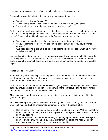He's looking at you often and he's trying to include you in the conversation.

Eventually you want it to be just the two of you, so you say things like:

- "Want to go get some fresh air?"
- "Whew, that's better, isn't it? Now we can talk like grown-ups. Just kidding."
- "You're adorable; I'm so glad we have this chance to chat."

Or, let's say you two know each other in passing, have seen or spoken to each other several times and now it's getting to a critical point. More likely than not, he wants to talk to you, but he can't figure out how. Help him out  $-$  it's the first step to you getting him.

- "We must stop meeting like this, or at least let's make it a regular habit."
- "If you're planning to keep going the same places I am, at least you could offer to carpool."
- "We keep passing in the halls, and now it's getting ridiculous. I can't wait until we have a real conversation!"

You can keep it light and fun, and be as brash as you want. You just want to let him know that he's doing fine, and you're into him too. Once you see his shoulders relax from around his ears, you can have a much easier conversation, and he can concentrate on being interested in you.

# **Phase 2: The First Dates**

At no point in your relationship is listening more crucial than during your first dates. However, like the phase above, the two of you are so busy trying to make an impression that it's a wonder you even remember those dates at all.

Like The Game phase, part of your strategy is still going to involve getting him to relax. To do that, you should put the focus on him. He'll be much more comfortable talking about himself than trying to come up with something to say to you.

That may sound weird, but women tend to be better conversationalists than men. Use it to your advantage!

This also accomplishes your most crucial task during this phase: Listening. He'll let you know what is of value and will be important to remember for later in the relationship:

- Has he had a Friday night poker game with his friends for five years? When you let him know down the line that you know how important it is and you'd never mess with it, he'll know you get him.
- Is he talking about how hard he's working on getting a promotion at work? Then you'll know to tread lightly when he's pulling all-nighters in the office and not harp on him about not spending time with you. He'll know you get him.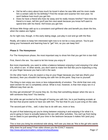- Did he tell a story about how much he loved it when he was little and his mom made him a certain cake for his birthday? Find the recipe and surprise him next year; he won't believe how much you get him.
- Does he have a friend who lives far away and he really misses him/her? Next time the friend is in town, tell him you'll see him next week because you know he'll want to spend time with his friend. He'll know you get him.

All those little things add up to a consistent cool-girlfriend vibe and benefit you down the line, when the stakes are higher.

As for right now, though, in this early dating stage, just play it cool and go with the flow.

Really, all it takes to keep him interested right now is to not be a crazy person. You're just doing your homework and learning how to "get" him, so you can keep him!

## **Phase 3: The Honeymoon**

For The Honeymoon phase, the most important way to show him that you get him is two-fold:

First, there's the sex. You want to let him know you enjoy it!

But more importantly, you want to strike a balance between enjoying it and enjoying it for what it is, which is sex. In other words, you don't want to make him feel like you're expecting a ring on your finger because you had a roll in the sack.

On the other hand, if you do expect a ring on your finger because you had sex (that's your decision), then you shouldn't be having sex with him at this point. Stay true to yourself.

The thing is men enjoy sex more or less independently of emotion. The cliché that men only want women for sex is completely untrue. What is true, however, is that men enjoy sex in a different way than we do.

Do they get emotional? Of course they do. Do they feel something deeper when the sex is with someone they love? You betcha.

But while we get excited at the thought of having sex with him, he is just freaking ecstatic at the fact that anyone wants to have sex with him. The fact that it's you is just icing on the cake.

The second part of this... well, it also has to do with sex, more or less.

As part of that balancing act you're doing between enjoying it and enjoying it for what it is, you're going to have to actually balance the sex with other activities. You can't go from being out on dates to just spending all your time in the bedroom because it makes him (and you) happy.

This is how you bring his emotional side along. He'll see you less as "this is the girl who wants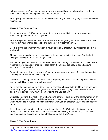to have sex with me!" and as the person he spent several hours with beforehand getting to know, and liking and seeing how much you understand him.

That's going to make him feel much more connected to you, which is going to very much keep his interest.

## **Phase 4: The Comfort Zone**

As the glow wears off, it's more important than ever to keep his interest by making sure he knows you get him better than anyone else.

This is the point in the relationship when there is a risk of getting into a rut, which is the death knell for any relationship, especially one that is not fully committed yet.

So, it is during this time that you want to revert back to all that stuff you've learned about him while dating.

The whole strategy during this phase is never to get in a rut in the first place. So, the first thing you're going to do is keep things lively.

You want to give the two of you some room to breathe. During The Honeymoon phase, when it seems like you can't get enough of each other, it can be all too easy to spend absurd amounts of time together.

Be careful not to let that be the norm. Once the newness of sex wears off, it can become just spending absurd amounts of time together.

Go back to spending normal amounts of time together, but make sure they're packed with fun and not just "Hey, it's your turn to buy pizza."

For example, take him out on a date — doing something he wants to do. Go to a batting cage or a driving range. Take him to a game or a movie he's been dying to see. Make the date all about him to let him know you've been listening and you get him.

Suggest something that neither of you have done before — take a day trip somewhere new or take a seminar class to learn a skill neither of you have. Even if you have a bad time, that's when your sense of humor comes in. No matter what you do together, you're making positive memories.

After all, we've all been through the early dating stages. But it's helping the two of you get through The Comfort Zone phase that will make him feel like you get him. If you can make this phase just as exciting as the ones that came before it, you're in.

#### **Phase 5: The Commitment**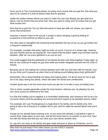Once you're in The Commitment phase, he pretty much knows that you get him. But what you want to be careful of is that he doesn't take that for granted.

Unlike the earlier phases where you want to make him see how deeply you get what he's about, now he knows that you know that. Now you want to make sure he knows that you get what excites him.

Now that he is past the "Oh my God she wants to have sex with me" phase, you want to revive that excitement.

However, it doesn't have to be sexual. It simply is about bringing a general feeling of excitement to the forefront as often as you can.

You also want to strengthen the emotional bond between the two of you as you go further into a long-term relationship.

For example, consider that poker night he loves so much. If you're of a certain age, chances are your friends and his are pairing off. This means that the poker nights may be fewer and far between. After all, not every girlfriend is as cool as you!

You could suggest that the girlfriends of his friends do their own thing together Friday night, so that he can continue to enjoy his guy time while you further integrate yourself into his circle of friends.

Because you're not making him choose between time with you and time with his friends, how do you think you'll measure up when they're all sitting around talking about their girlfriends?!

Remember, this is about feeding him ideas and making plans. It's all too easy for him to get set in his ways during this phase, which will make him bored and uninterested.

Another great way to let him know how much you get him is to take it easy at holiday time.

This is where couples generally create the most tension, whereas you, by playing it by ear, can come across as Girlfriend of the Year.

For that first holiday you're together in a committed relationship, don't pressure him to do a lot of events where you'll be parading him around and don't expect to be paraded around, either.

For example, let's say Thanksgiving is a huge deal in his family, and it's family only. He's going to feel a lot of pressure to explain this to you, and he might be worried about how you'll react.

Except you've already been listening a lot, so you know this already. Long before it gets to crunch time, make plans of your own, and let him know that it's no worries on your end, have fun with the family and that you can have your own dinner another time.

Or, say he's not close to his family and gets really stressed or down at Christmas, but it's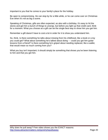important to you that he comes to your family's place for the holiday.

Be open to compromising. He can stop by for a little while, or he can come over on Christmas Eve when it's not as big a scene.

Speaking of Christmas, gifts are often expected, as also with a birthday. It's easy to hit the stores and get him a bunch of things to unwrap, but before you light up that credit card, think for a moment. What you choose as a gift can be the single best way to show him you get him.

Remember a gift doesn't have to cost a lot in order for it to show you understand him.

So, think. Is there something he talks about missing from his childhood, like a book or a toy you could get? What about something he's talked about doing — could you get him guitar lessons from a friend? Is there something he's griped about needing replaced, like a wallet, that would mean so much coming from you?

What you buy isn't important; it should simply be something that shows you've been listening to him and that you get him.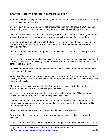# <span id="page-20-0"></span>**Chapter 5: How to Maintain Interest Forever**

After navigating the dating stages, hopefully you're in a relationship with a man whose interest level remains high and strong!

But just like in those early stages, it's still important to keep him interested. If you're serious about finding a good man to love for a long time, you have to have a long-term plan.

Once you're well into a relationship — meaning the next step includes you wearing white and walking down an aisle — there are other ways to keep showing him that you get him.

Doing so now has to do with looking to the future. It will not only keep him interested in you, but by showing him what a future would be like with you, he'll be much more interested in making it happen.

First and foremost, you need to keep doing something you've been doing all along, which is give him space.

For example, have you heard of a "man cave"? A man cave is a space in a couple's home that is solely for his use. It's usually a garage or a basement, but it can be a spare room or some other space that's all his.

The cliché of a man cave is so prevalent because, as the thinking goes, the rest of the home is the woman's domain.

When giving him space, that doesn't mean space in your home. Don't turn your home into solely your domain, and he won't feel the need to retreat into a man cave — neither physically nor psychologically.

Men create man caves because they feel like the women they live with don't get them. If he knows you get him, he won't have that urge to get away.

With regard to your physical space, don't make him live in a sea of pink frills and throw pillows, but also provide some space for his psychological side.

Just because he has a free afternoon does not mean that it's time to tackle that honey-do list. Let him have a balance between time for him, time for you, time for the relationship and time for chores and errands.

There is a balance there, and if you help him find it, he's yours forever!

Part of that balance, and another way to show him a future with you, is to encourage his passions.

When a man and woman have been together for a long time, their lives intertwine and before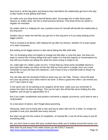they know it, all the big plans and dreams they had before the relationship get lost in the dayto-day routine of just getting stuff done.

So make sure you keep those eternal flames alive. Encourage him to take those guitar lessons no matter what. Get him to that business seminar. Find those forms he needs to register his invention.

No matter what it is, helping him see a positive future for himself will benefit the relationship in the long term.

Another way to make him feel like you get him in the long term is if you keep looking at the bigger picture.

That is covered a bit above, with helping him go after his dreams, whether it's to learn guitar or to start a business.

But looking at the bigger picture is also about letting the little stuff slide.

Yes, it's frustrating when he forgets to change the kitty litter or mow the lawn, but there are ways to remind him of these things that won't make it so that the majority of conversations he has with you involve you telling him what he's done wrong or forgot to do.

So, make light of it. Make a joke out of it. "I know that you have some incredible trauma in your past that makes you block out the fact that our front yard is a jungle, but if you could remember to mow the lawn this weekend, I won't have to buy a machete knife to whack my way to the car."

You can also ask him sincerely if there is some way you can help. "Honey, I know the lawn isn't your top priority, but it does need to be done. Is there a good time when I can remind you of it? I don't want to nag."

In the same vein of not wanting to be negative all the time, make sure you remember to praise him when he does do things. This can be hard. We all feel like we're holding the ship together, and we get no appreciation for it.

But if you make compliments and positive comments a regular occurrence, you'll start to see it reciprocated.

As a last piece of advice, don't forget about grooming.

Obviously, when you're living with a man and you've been with him for a while, it's simply not possible to look your absolute best every second.

But when we get into the routine of coupledom, of married life, it can be all too easy to just let everything slide.

No, you don't have to wear that sexy cocktail dress while you're loafing around the house, but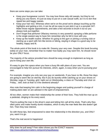there are some steps you can take:

- Keep your loungewear current. You may love those ratty old sweats, but they're not doing you any favors. It's just as easy to put on a cute casual outfit, as it is to don that ripped tee and baggy sweats.
- Keep your hair nice. Whereas when we're on the prowl we're always touching up the highlights and getting a trim, it can be all too easy to just stick it up in a ponytail 24/7. Make those regular appointments, and take a few seconds to brush it out so you always look put-together.
- Don't forget that perfume! Olfactory memory is very powerful; spraying a little perfume is the single easiest way to have him remember why he fell in love with you.
- Keep up the health routine. Whether it's going to the gym or joining a running club or starting up a sport with him like tennis or biking, staying in shape is a good way to be healthy, happy and fit.

The whole point of this book is to make Mr. Dreamy your very own. Despite this book focusing solely on your man, remember that no matter how badly you may want him, he should never be your ONLY focus.

The majority of the advice provided here should be easy enough to implement as long as you're living your own life.

It's easy to give him space when you have a busy life with plans of your own. You are encouraged to help him pursue his interests, which, again, is easy when you're pursuing your own.

For example, imagine you only see your guy on weekends. If you have no life, those five days are going to seem like an eternity. But if you do laundry while catching up on your shows on Monday, yoga on Tuesday, girls' night out on Wednesday, a class on Thursday and choir on Friday... well, look at that! Is it the weekend already?

Also note that keeping him calm in the beginning stages and putting yourself in charge of making plans later on are advised in the spirit of empowerment.

All too often, women make their relationship the center of their lives. They hold the man up on a pedestal, clinging to his every word.

They're putting the man in the driver's seat and letting him call all the shots. That's why they often panic and make frankly dumb mistakes, which is why the man feels like she doesn't get him. Then they lose interest.

So with these tips, feel empowered to steer the relationship in the direction you, and ONLY you, want it to go.

That's the real secret to happiness!